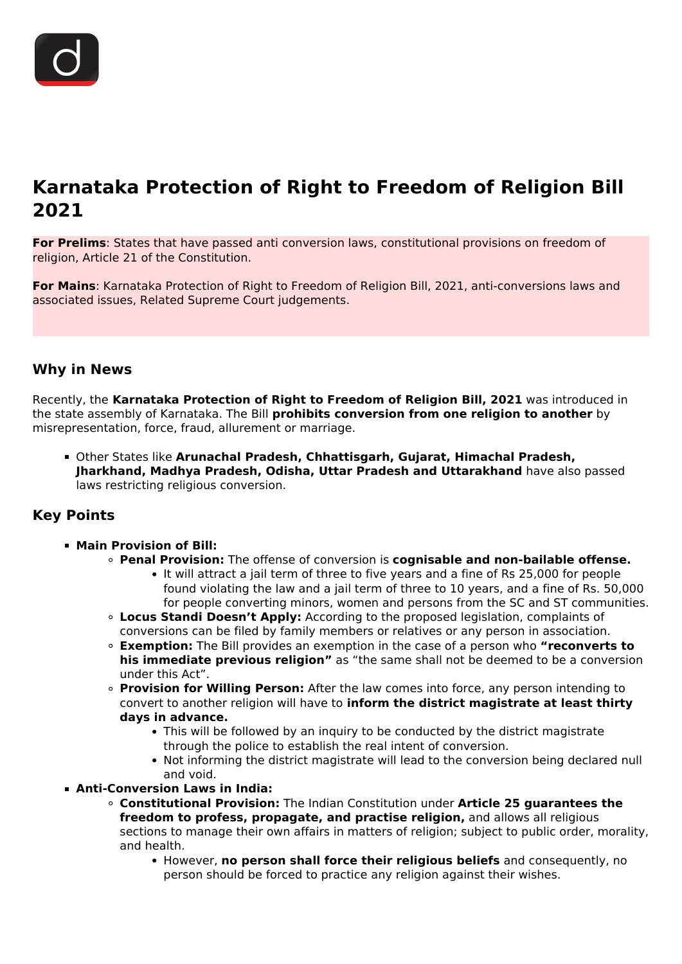# **Karnataka Protection of Right to Freedom of Religion Bill 2021**

**For Prelims**: States that have passed anti conversion laws, constitutional provisions on freedom of religion, Article 21 of the Constitution.

**For Mains**: Karnataka Protection of Right to Freedom of Religion Bill, 2021, anti-conversions laws and associated issues, Related Supreme Court judgements.

# **Why in News**

Recently, the **Karnataka Protection of Right to Freedom of Religion Bill, 2021** was introduced in the state assembly of Karnataka. The Bill **prohibits conversion from one religion to another** by misrepresentation, force, fraud, allurement or marriage.

Other States like **Arunachal Pradesh, Chhattisgarh, Gujarat, Himachal Pradesh, Jharkhand, Madhya Pradesh, Odisha, Uttar Pradesh and Uttarakhand** have also passed laws restricting religious conversion.

# **Key Points**

- **Main Provision of Bill:**
	- **Penal Provision:** The offense of conversion is **cognisable and non-bailable offense.**
		- It will attract a jail term of three to five years and a fine of Rs 25,000 for people found violating the law and a jail term of three to 10 years, and a fine of Rs. 50,000 for people converting minors, women and persons from the SC and ST communities.
	- **Locus Standi Doesn't Apply:** According to the proposed legislation, complaints of conversions can be filed by family members or relatives or any person in association.
	- **Exemption:** The Bill provides an exemption in the case of a person who **"reconverts to his immediate previous religion"** as "the same shall not be deemed to be a conversion under this Act".
	- **Provision for Willing Person:** After the law comes into force, any person intending to convert to another religion will have to **inform the district magistrate at least thirty days in advance.**
		- This will be followed by an inquiry to be conducted by the district magistrate through the police to establish the real intent of conversion.
		- Not informing the district magistrate will lead to the conversion being declared null and void.
- **Anti-Conversion Laws in India:**
	- **Constitutional Provision:** The Indian Constitution under **Article 25 guarantees the freedom to profess, propagate, and practise religion,** and allows all religious sections to manage their own affairs in matters of religion; subject to public order, morality, and health.
		- However, **no person shall force their religious beliefs** and consequently, no person should be forced to practice any religion against their wishes.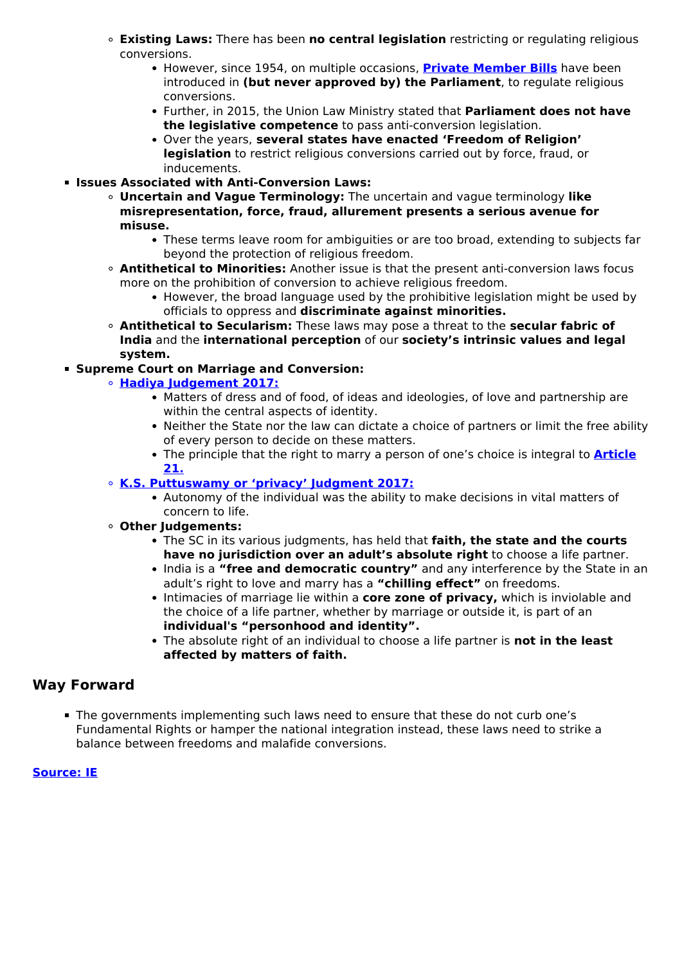- **Existing Laws:** There has been **no central legislation** restricting or regulating religious conversions.
	- **However, since 1954, on multiple occasions, [Private Member Bills](/daily-updates/daily-news-analysis/private-members-bill#:~:text=The%20purpose%20of%20the%20private,opposition%20party%20on%20public%20matters.)** have been introduced in **(but never approved by) the Parliament**, to regulate religious conversions.
	- Further, in 2015, the Union Law Ministry stated that **Parliament does not have the legislative competence** to pass anti-conversion legislation.
	- Over the years, **several states have enacted 'Freedom of Religion' legislation** to restrict religious conversions carried out by force, fraud, or inducements.
- **Issues Associated with Anti-Conversion Laws:**
	- **Uncertain and Vague Terminology:** The uncertain and vague terminology **like misrepresentation, force, fraud, allurement presents a serious avenue for misuse.**
		- These terms leave room for ambiguities or are too broad, extending to subjects far beyond the protection of religious freedom.
	- **Antithetical to Minorities:** Another issue is that the present anti-conversion laws focus more on the prohibition of conversion to achieve religious freedom.
		- However, the broad language used by the prohibitive legislation might be used by officials to oppress and **discriminate against minorities.**
	- **Antithetical to Secularism:** These laws may pose a threat to the **secular fabric of India** and the **international perception** of our **society's intrinsic values and legal system.**

### **Supreme Court on Marriage and Conversion:**

- **[Hadiya Judgement 2017:](/daily-updates/daily-news-analysis/choosing-a-partner-is-a-persons-fundamental-right-sc)**
	- Matters of dress and of food, of ideas and ideologies, of love and partnership are within the central aspects of identity.
	- Neither the State nor the law can dictate a choice of partners or limit the free ability of every person to decide on these matters.
	- The principle that the right to marry a person of one's choice is integral to **[Article](/to-the-points/Paper2/fundamental-rights-part-1) [21.](/to-the-points/Paper2/fundamental-rights-part-1)**

#### **[K.S. Puttuswamy or 'privacy' Judgment 2017:](/daily-updates/daily-news-editorials/privacy-judgement-and-the-aftermath)**

- Autonomy of the individual was the ability to make decisions in vital matters of concern to life.
- **Other Judgements:**
	- The SC in its various judgments, has held that **faith, the state and the courts have no jurisdiction over an adult's absolute right** to choose a life partner.
	- India is a **"free and democratic country"** and any interference by the State in an adult's right to love and marry has a **"chilling effect"** on freedoms.
	- Intimacies of marriage lie within a **core zone of privacy,** which is inviolable and the choice of a life partner, whether by marriage or outside it, is part of an **individual's "personhood and identity".**
	- The absolute right of an individual to choose a life partner is **not in the least affected by matters of faith.**

## **Way Forward**

The governments implementing such laws need to ensure that these do not curb one's Fundamental Rights or hamper the national integration instead, these laws need to strike a balance between freedoms and malafide conversions.

#### **[Source: IE](https://indianexpress.com/article/explained/karnatakas-anti-conversion-bill-explained-7686686/)**